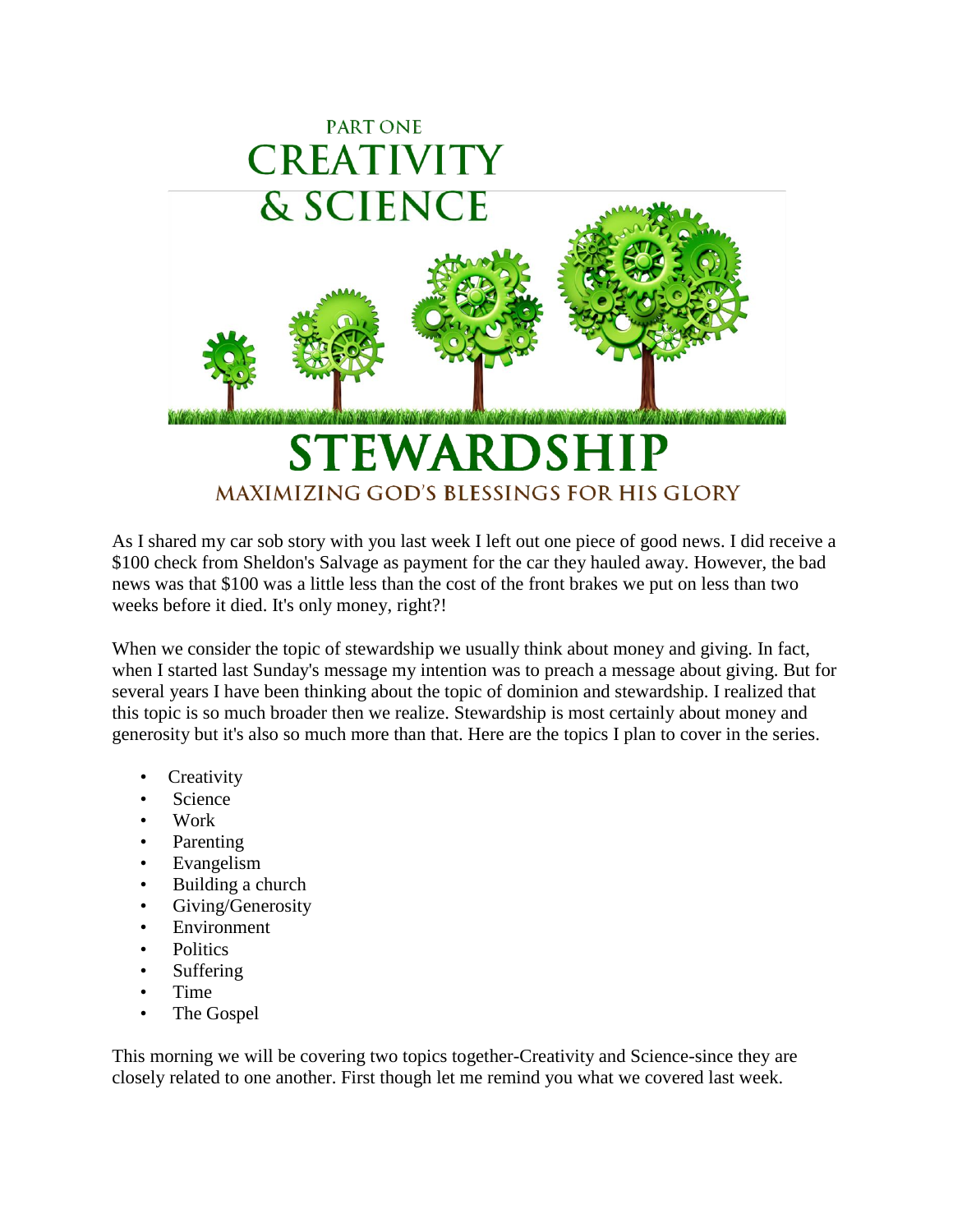

As I shared my car sob story with you last week I left out one piece of good news. I did receive a \$100 check from Sheldon's Salvage as payment for the car they hauled away. However, the bad news was that \$100 was a little less than the cost of the front brakes we put on less than two weeks before it died. It's only money, right?!

When we consider the topic of stewardship we usually think about money and giving. In fact, when I started last Sunday's message my intention was to preach a message about giving. But for several years I have been thinking about the topic of dominion and stewardship. I realized that this topic is so much broader then we realize. Stewardship is most certainly about money and generosity but it's also so much more than that. Here are the topics I plan to cover in the series.

- **Creativity**
- **Science**
- Work
- **Parenting**
- **Evangelism**
- Building a church
- Giving/Generosity
- Environment
- Politics
- **Suffering**
- Time
- The Gospel

This morning we will be covering two topics together-Creativity and Science-since they are closely related to one another. First though let me remind you what we covered last week.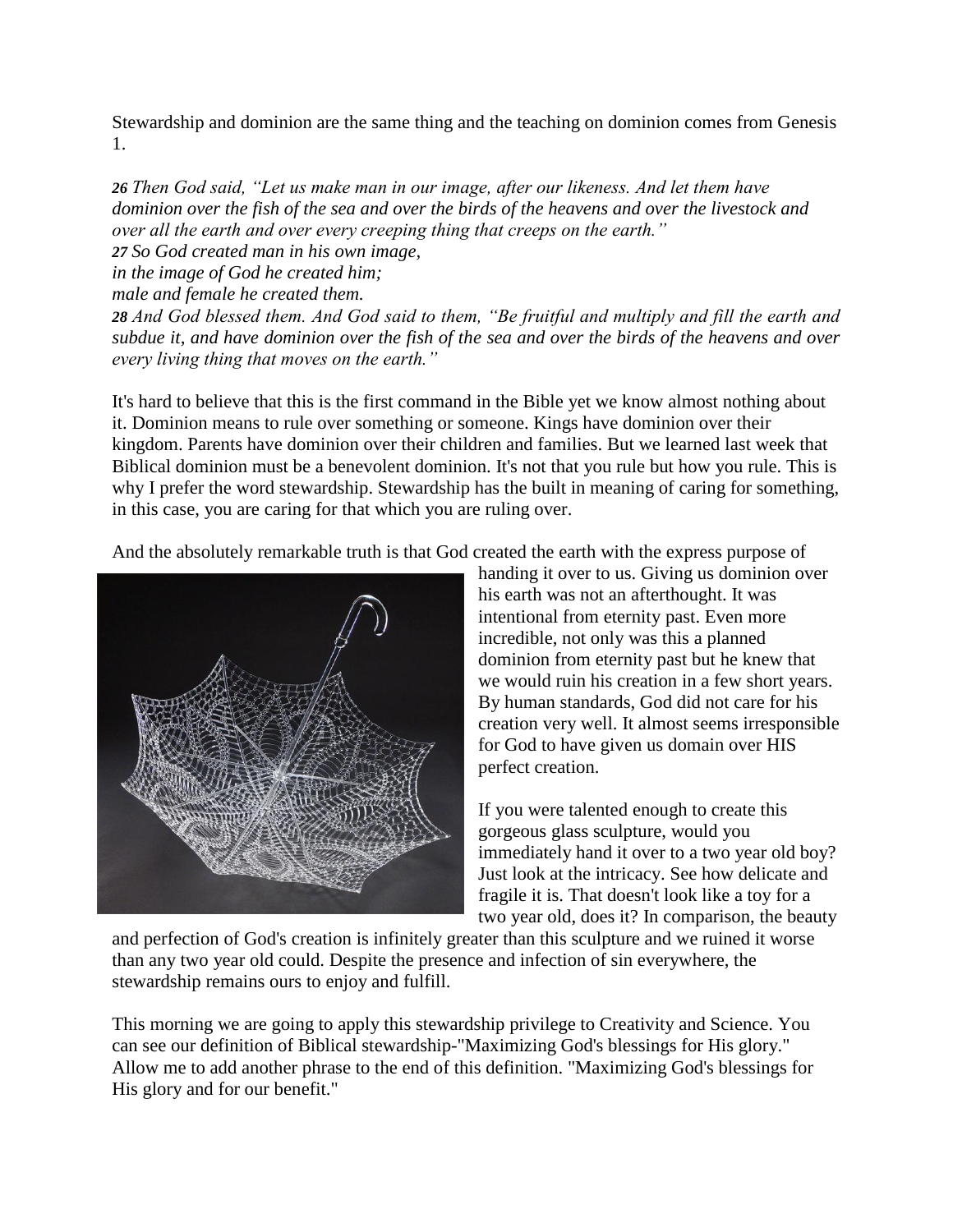Stewardship and dominion are the same thing and the teaching on dominion comes from Genesis 1.

*26 Then God said, "Let us make man in our image, after our likeness. And let them have dominion over the fish of the sea and over the birds of the heavens and over the livestock and over all the earth and over every creeping thing that creeps on the earth."* 

*27 So God created man in his own image,* 

*in the image of God he created him; male and female he created them.* 

*28 And God blessed them. And God said to them, "Be fruitful and multiply and fill the earth and subdue it, and have dominion over the fish of the sea and over the birds of the heavens and over every living thing that moves on the earth."*

It's hard to believe that this is the first command in the Bible yet we know almost nothing about it. Dominion means to rule over something or someone. Kings have dominion over their kingdom. Parents have dominion over their children and families. But we learned last week that Biblical dominion must be a benevolent dominion. It's not that you rule but how you rule. This is why I prefer the word stewardship. Stewardship has the built in meaning of caring for something, in this case, you are caring for that which you are ruling over.

And the absolutely remarkable truth is that God created the earth with the express purpose of



handing it over to us. Giving us dominion over his earth was not an afterthought. It was intentional from eternity past. Even more incredible, not only was this a planned dominion from eternity past but he knew that we would ruin his creation in a few short years. By human standards, God did not care for his creation very well. It almost seems irresponsible for God to have given us domain over HIS perfect creation.

If you were talented enough to create this gorgeous glass sculpture, would you immediately hand it over to a two year old boy? Just look at the intricacy. See how delicate and fragile it is. That doesn't look like a toy for a two year old, does it? In comparison, the beauty

and perfection of God's creation is infinitely greater than this sculpture and we ruined it worse than any two year old could. Despite the presence and infection of sin everywhere, the stewardship remains ours to enjoy and fulfill.

This morning we are going to apply this stewardship privilege to Creativity and Science. You can see our definition of Biblical stewardship-"Maximizing God's blessings for His glory." Allow me to add another phrase to the end of this definition. "Maximizing God's blessings for His glory and for our benefit."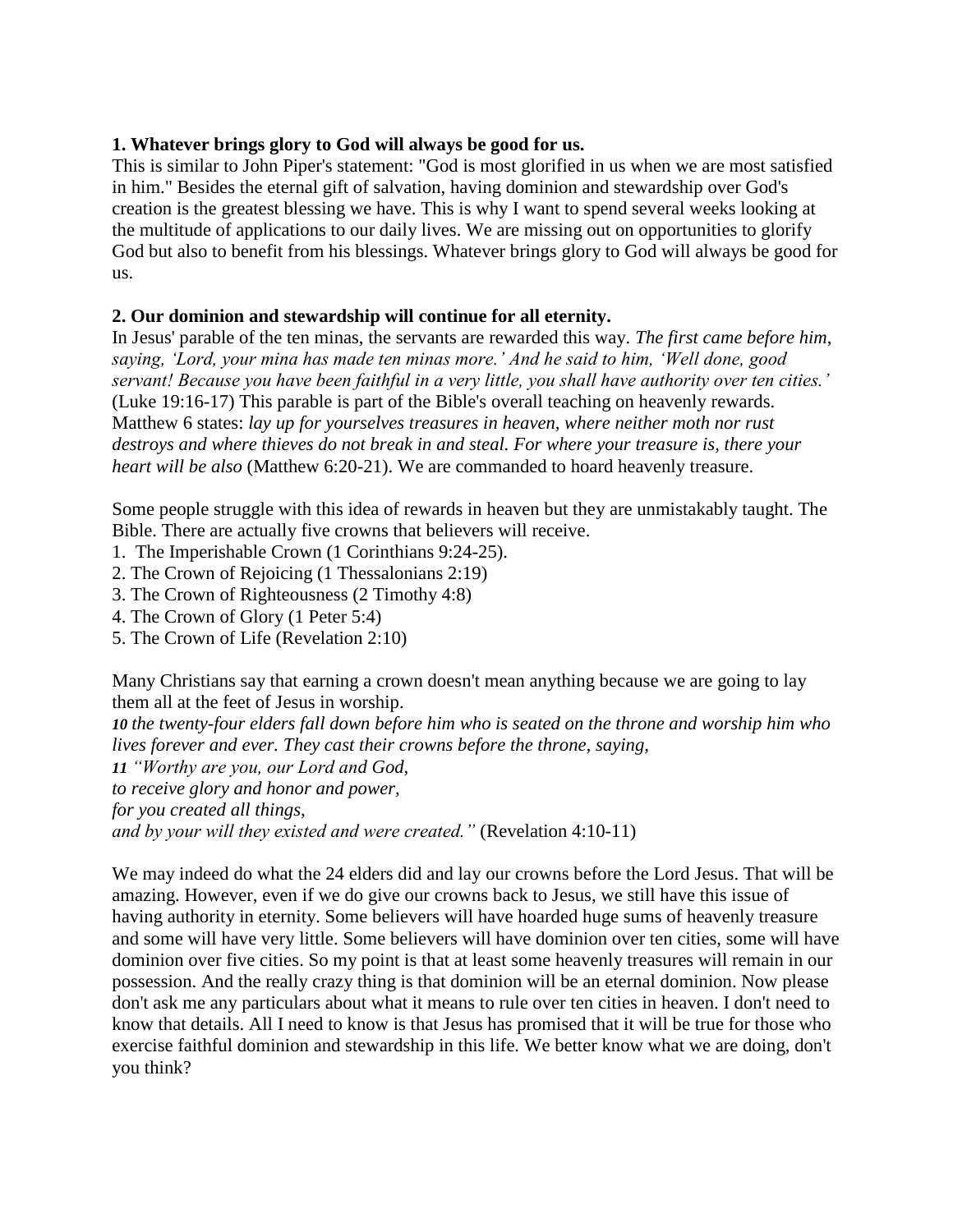### **1. Whatever brings glory to God will always be good for us.**

This is similar to John Piper's statement: "God is most glorified in us when we are most satisfied in him." Besides the eternal gift of salvation, having dominion and stewardship over God's creation is the greatest blessing we have. This is why I want to spend several weeks looking at the multitude of applications to our daily lives. We are missing out on opportunities to glorify God but also to benefit from his blessings. Whatever brings glory to God will always be good for us.

# **2. Our dominion and stewardship will continue for all eternity.**

In Jesus' parable of the ten minas, the servants are rewarded this way. *The first came before him, saying, 'Lord, your mina has made ten minas more.' And he said to him, 'Well done, good servant! Because you have been faithful in a very little, you shall have authority over ten cities.'* (Luke 19:16-17) This parable is part of the Bible's overall teaching on heavenly rewards. Matthew 6 states: *lay up for yourselves treasures in heaven, where neither moth nor rust destroys and where thieves do not break in and steal. For where your treasure is, there your heart will be also* (Matthew 6:20-21). We are commanded to hoard heavenly treasure.

Some people struggle with this idea of rewards in heaven but they are unmistakably taught. The Bible. There are actually five crowns that believers will receive.

- 1. The Imperishable Crown (1 Corinthians 9:24-25).
- 2. The Crown of Rejoicing (1 Thessalonians 2:19)
- 3. The Crown of Righteousness (2 Timothy 4:8)
- 4. The Crown of Glory (1 Peter 5:4)
- 5. The Crown of Life (Revelation 2:10)

Many Christians say that earning a crown doesn't mean anything because we are going to lay them all at the feet of Jesus in worship.

*10 the twenty-four elders fall down before him who is seated on the throne and worship him who lives forever and ever. They cast their crowns before the throne, saying,* 

*11 "Worthy are you, our Lord and God, to receive glory and honor and power,* 

*for you created all things,* 

*and by your will they existed and were created."* (Revelation 4:10-11)

We may indeed do what the 24 elders did and lay our crowns before the Lord Jesus. That will be amazing. However, even if we do give our crowns back to Jesus, we still have this issue of having authority in eternity. Some believers will have hoarded huge sums of heavenly treasure and some will have very little. Some believers will have dominion over ten cities, some will have dominion over five cities. So my point is that at least some heavenly treasures will remain in our possession. And the really crazy thing is that dominion will be an eternal dominion. Now please don't ask me any particulars about what it means to rule over ten cities in heaven. I don't need to know that details. All I need to know is that Jesus has promised that it will be true for those who exercise faithful dominion and stewardship in this life. We better know what we are doing, don't you think?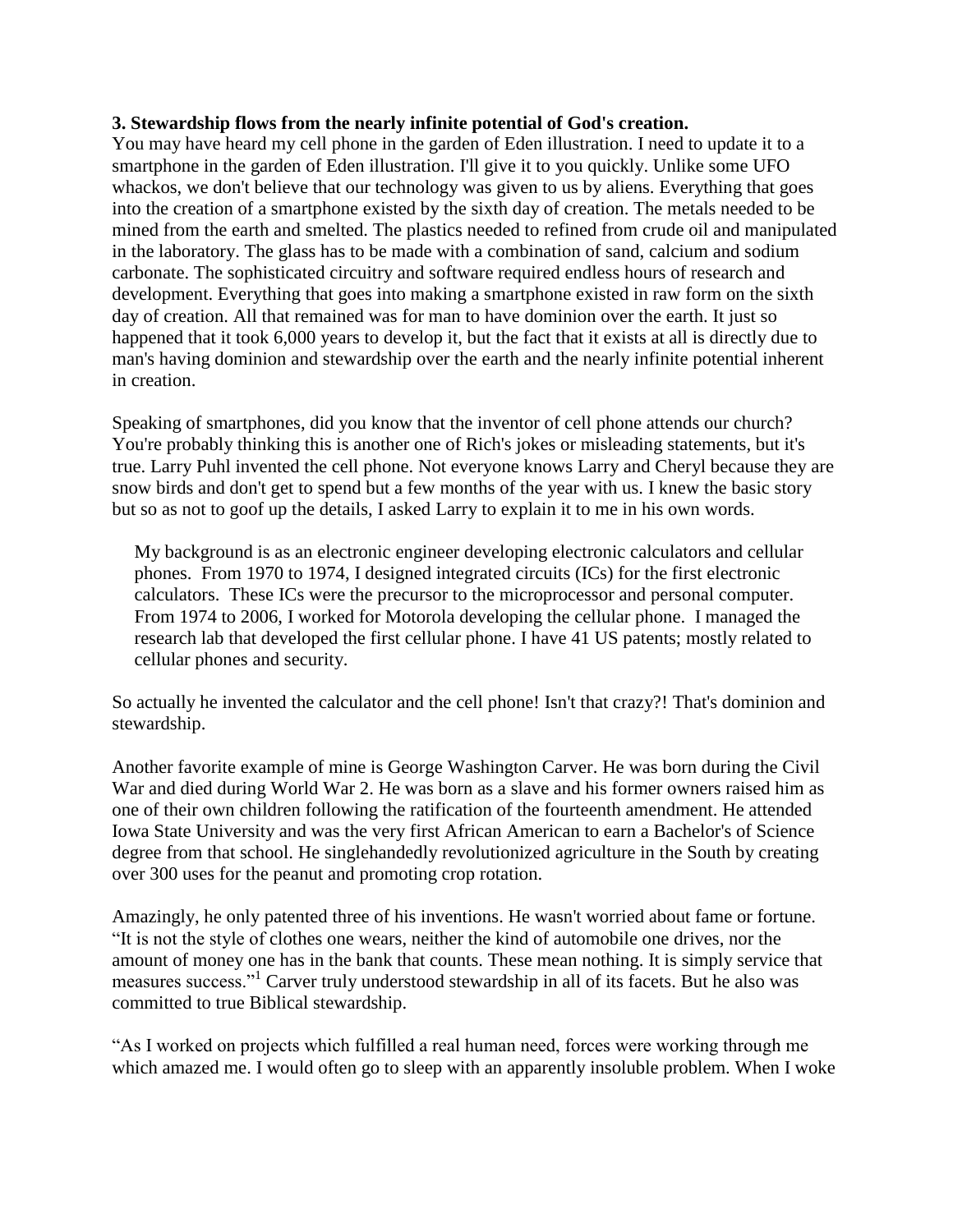#### **3. Stewardship flows from the nearly infinite potential of God's creation.**

You may have heard my cell phone in the garden of Eden illustration. I need to update it to a smartphone in the garden of Eden illustration. I'll give it to you quickly. Unlike some UFO whackos, we don't believe that our technology was given to us by aliens. Everything that goes into the creation of a smartphone existed by the sixth day of creation. The metals needed to be mined from the earth and smelted. The plastics needed to refined from crude oil and manipulated in the laboratory. The glass has to be made with a combination of sand, calcium and sodium carbonate. The sophisticated circuitry and software required endless hours of research and development. Everything that goes into making a smartphone existed in raw form on the sixth day of creation. All that remained was for man to have dominion over the earth. It just so happened that it took 6,000 years to develop it, but the fact that it exists at all is directly due to man's having dominion and stewardship over the earth and the nearly infinite potential inherent in creation.

Speaking of smartphones, did you know that the inventor of cell phone attends our church? You're probably thinking this is another one of Rich's jokes or misleading statements, but it's true. Larry Puhl invented the cell phone. Not everyone knows Larry and Cheryl because they are snow birds and don't get to spend but a few months of the year with us. I knew the basic story but so as not to goof up the details, I asked Larry to explain it to me in his own words.

My background is as an electronic engineer developing electronic calculators and cellular phones. From 1970 to 1974, I designed integrated circuits (ICs) for the first electronic calculators. These ICs were the precursor to the microprocessor and personal computer. From 1974 to 2006, I worked for Motorola developing the cellular phone. I managed the research lab that developed the first cellular phone. I have 41 US patents; mostly related to cellular phones and security.

So actually he invented the calculator and the cell phone! Isn't that crazy?! That's dominion and stewardship.

Another favorite example of mine is George Washington Carver. He was born during the Civil War and died during World War 2. He was born as a slave and his former owners raised him as one of their own children following the ratification of the fourteenth amendment. He attended Iowa State University and was the very first African American to earn a Bachelor's of Science degree from that school. He singlehandedly revolutionized agriculture in the South by creating over 300 uses for the peanut and promoting crop rotation.

Amazingly, he only patented three of his inventions. He wasn't worried about fame or fortune. "It is not the style of clothes one wears, neither the kind of automobile one drives, nor the amount of money one has in the bank that counts. These mean nothing. It is simply service that measures success."<sup>1</sup> Carver truly understood stewardship in all of its facets. But he also was committed to true Biblical stewardship.

"As I worked on projects which fulfilled a real human need, forces were working through me which amazed me. I would often go to sleep with an apparently insoluble problem. When I woke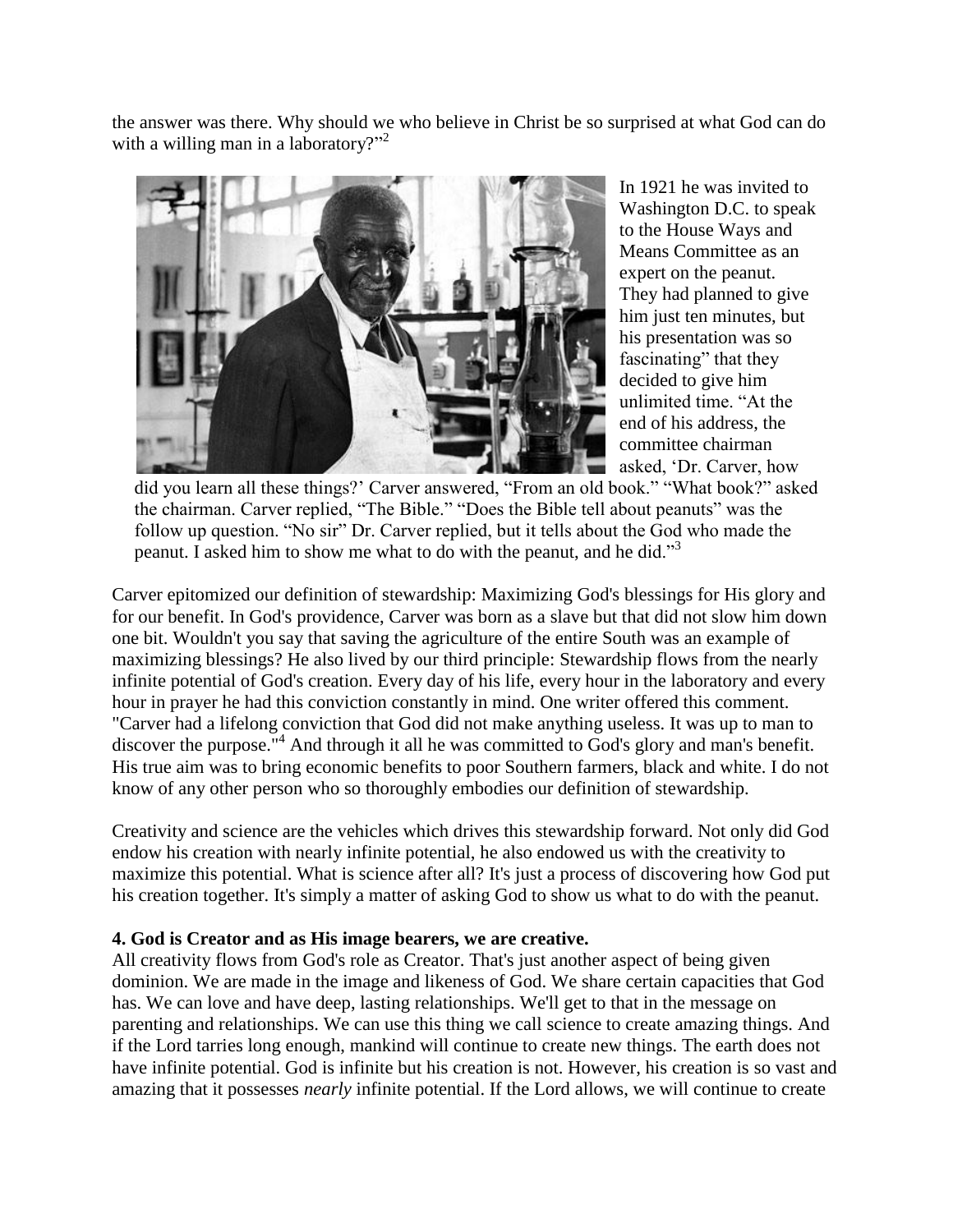the answer was there. Why should we who believe in Christ be so surprised at what God can do with a willing man in a laboratory?"<sup>2</sup>



In 1921 he was invited to Washington D.C. to speak to the House Ways and Means Committee as an expert on the peanut. They had planned to give him just ten minutes, but his presentation was so fascinating" that they decided to give him unlimited time. "At the end of his address, the committee chairman asked, 'Dr. Carver, how

did you learn all these things?' Carver answered, "From an old book." "What book?" asked the chairman. Carver replied, "The Bible." "Does the Bible tell about peanuts" was the follow up question. "No sir" Dr. Carver replied, but it tells about the God who made the peanut. I asked him to show me what to do with the peanut, and he did."<sup>3</sup>

Carver epitomized our definition of stewardship: Maximizing God's blessings for His glory and for our benefit. In God's providence, Carver was born as a slave but that did not slow him down one bit. Wouldn't you say that saving the agriculture of the entire South was an example of maximizing blessings? He also lived by our third principle: Stewardship flows from the nearly infinite potential of God's creation. Every day of his life, every hour in the laboratory and every hour in prayer he had this conviction constantly in mind. One writer offered this comment. "Carver had a lifelong conviction that God did not make anything useless. It was up to man to discover the purpose."<sup>4</sup> And through it all he was committed to God's glory and man's benefit. His true aim was to bring economic benefits to poor Southern farmers, black and white. I do not know of any other person who so thoroughly embodies our definition of stewardship.

Creativity and science are the vehicles which drives this stewardship forward. Not only did God endow his creation with nearly infinite potential, he also endowed us with the creativity to maximize this potential. What is science after all? It's just a process of discovering how God put his creation together. It's simply a matter of asking God to show us what to do with the peanut.

### **4. God is Creator and as His image bearers, we are creative.**

All creativity flows from God's role as Creator. That's just another aspect of being given dominion. We are made in the image and likeness of God. We share certain capacities that God has. We can love and have deep, lasting relationships. We'll get to that in the message on parenting and relationships. We can use this thing we call science to create amazing things. And if the Lord tarries long enough, mankind will continue to create new things. The earth does not have infinite potential. God is infinite but his creation is not. However, his creation is so vast and amazing that it possesses *nearly* infinite potential. If the Lord allows, we will continue to create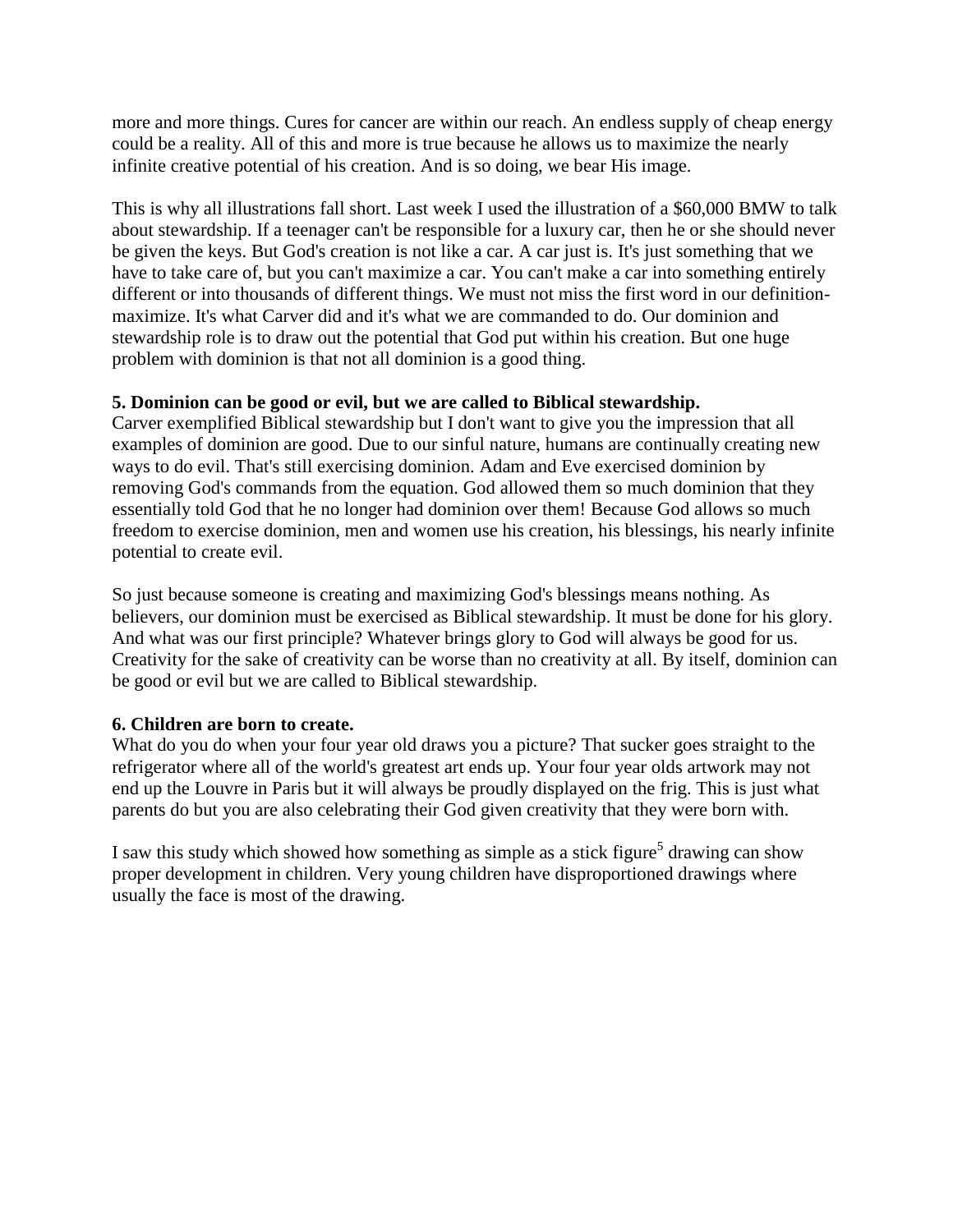more and more things. Cures for cancer are within our reach. An endless supply of cheap energy could be a reality. All of this and more is true because he allows us to maximize the nearly infinite creative potential of his creation. And is so doing, we bear His image.

This is why all illustrations fall short. Last week I used the illustration of a \$60,000 BMW to talk about stewardship. If a teenager can't be responsible for a luxury car, then he or she should never be given the keys. But God's creation is not like a car. A car just is. It's just something that we have to take care of, but you can't maximize a car. You can't make a car into something entirely different or into thousands of different things. We must not miss the first word in our definitionmaximize. It's what Carver did and it's what we are commanded to do. Our dominion and stewardship role is to draw out the potential that God put within his creation. But one huge problem with dominion is that not all dominion is a good thing.

# **5. Dominion can be good or evil, but we are called to Biblical stewardship.**

Carver exemplified Biblical stewardship but I don't want to give you the impression that all examples of dominion are good. Due to our sinful nature, humans are continually creating new ways to do evil. That's still exercising dominion. Adam and Eve exercised dominion by removing God's commands from the equation. God allowed them so much dominion that they essentially told God that he no longer had dominion over them! Because God allows so much freedom to exercise dominion, men and women use his creation, his blessings, his nearly infinite potential to create evil.

So just because someone is creating and maximizing God's blessings means nothing. As believers, our dominion must be exercised as Biblical stewardship. It must be done for his glory. And what was our first principle? Whatever brings glory to God will always be good for us. Creativity for the sake of creativity can be worse than no creativity at all. By itself, dominion can be good or evil but we are called to Biblical stewardship.

### **6. Children are born to create.**

What do you do when your four year old draws you a picture? That sucker goes straight to the refrigerator where all of the world's greatest art ends up. Your four year olds artwork may not end up the Louvre in Paris but it will always be proudly displayed on the frig. This is just what parents do but you are also celebrating their God given creativity that they were born with.

I saw this study which showed how something as simple as a stick figure<sup>5</sup> drawing can show proper development in children. Very young children have disproportioned drawings where usually the face is most of the drawing.